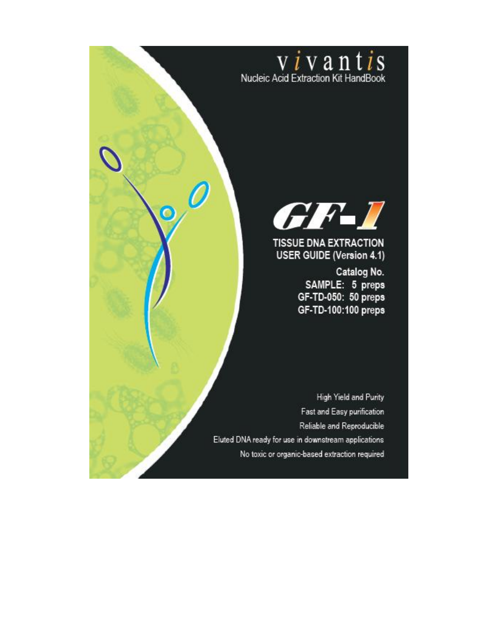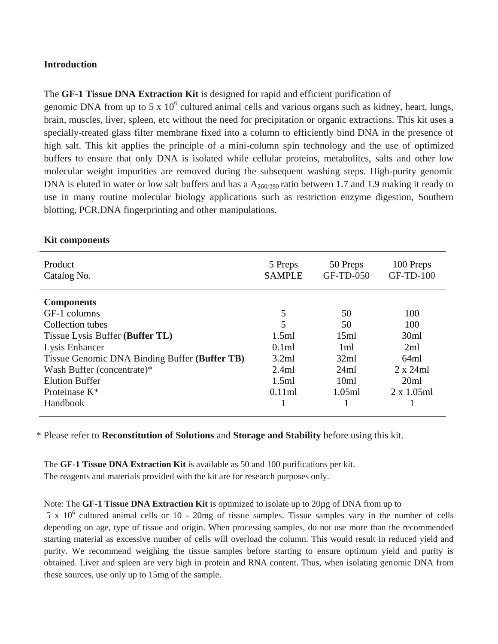#### **Introduction**

The **GF-1 Tissue DNA Extraction Kit** is designed for rapid and efficient purification of

genomic DNA from up to 5 x  $10<sup>6</sup>$  cultured animal cells and various organs such as kidney, heart, lungs, brain, muscles, liver, spleen, etc without the need for precipitation or organic extractions. This kit uses a specially-treated glass filter membrane fixed into a column to efficiently bind DNA in the presence of high salt. This kit applies the principle of a mini-column spin technology and the use of optimized buffers to ensure that only DNA is isolated while cellular proteins, metabolites, salts and other low molecular weight impurities are removed during the subsequent washing steps. High-purity genomic DNA is eluted in water or low salt buffers and has a  $A_{260/280}$  ratio between 1.7 and 1.9 making it ready to use in many routine molecular biology applications such as restriction enzyme digestion, Southern blotting, PCR,DNA fingerprinting and other manipulations.

| Product<br>Catalog No.                        | 5 Preps<br><b>SAMPLE</b> | 50 Preps<br>GF-TD-050 | 100 Preps<br><b>GF-TD-100</b> |
|-----------------------------------------------|--------------------------|-----------------------|-------------------------------|
| <b>Components</b>                             |                          |                       |                               |
| GF-1 columns                                  | 5                        | 50                    | 100                           |
| Collection tubes                              | 5                        | 50                    | 100                           |
| Tissue Lysis Buffer (Buffer TL)               | 1.5ml                    | 15ml                  | 30ml                          |
| Lysis Enhancer                                | 0.1ml                    | 1 <sub>ml</sub>       | 2ml                           |
| Tissue Genomic DNA Binding Buffer (Buffer TB) | 3.2ml                    | 32ml                  | 64ml                          |
| Wash Buffer (concentrate)*                    | 2.4ml                    | 24ml                  | $2 \times 24$ ml              |
| <b>Elution Buffer</b>                         | 1.5ml                    | 10ml                  | 20ml                          |
| Proteinase $K^*$                              | 0.11ml                   | 1.05ml                | $2 \times 1.05$ ml            |
| Handbook                                      |                          |                       |                               |

#### **Kit components**

\* Please refer to **Reconstitution of Solutions** and **Storage and Stability** before using this kit.

The **GF-1 Tissue DNA Extraction Kit** is available as 50 and 100 purifications per kit. The reagents and materials provided with the kit are for research purposes only.

#### Note: The **GF-1 Tissue DNA Extraction Kit** is optimized to isolate up to 20µg of DNA from up to

 $5 \times 10^6$  cultured animal cells or 10 - 20mg of tissue samples. Tissue samples vary in the number of cells depending on age, type of tissue and origin. When processing samples, do not use more than the recommended starting material as excessive number of cells will overload the column. This would result in reduced yield and purity. We recommend weighing the tissue samples before starting to ensure optimum yield and purity is obtained. Liver and spleen are very high in protein and RNA content. Thus, when isolating genomic DNA from these sources, use only up to 15mg of the sample.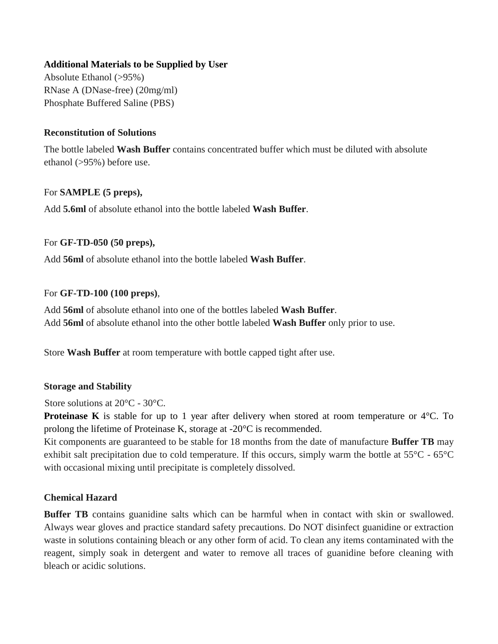### **Additional Materials to be Supplied by User**

Absolute Ethanol (>95%) RNase A (DNase-free) (20mg/ml) Phosphate Buffered Saline (PBS)

### **Reconstitution of Solutions**

The bottle labeled **Wash Buffer** contains concentrated buffer which must be diluted with absolute ethanol (>95%) before use.

### For **SAMPLE (5 preps),**

Add **5.6ml** of absolute ethanol into the bottle labeled **Wash Buffer**.

### For **GF-TD-050 (50 preps),**

Add **56ml** of absolute ethanol into the bottle labeled **Wash Buffer**.

### For **GF-TD-100 (100 preps)**,

Add **56ml** of absolute ethanol into one of the bottles labeled **Wash Buffer**. Add **56ml** of absolute ethanol into the other bottle labeled **Wash Buffer** only prior to use.

Store **Wash Buffer** at room temperature with bottle capped tight after use.

### **Storage and Stability**

Store solutions at 20°C - 30°C.

**Proteinase K** is stable for up to 1 year after delivery when stored at room temperature or 4<sup>o</sup>C. To prolong the lifetime of Proteinase K, storage at -20°C is recommended.

Kit components are guaranteed to be stable for 18 months from the date of manufacture **Buffer TB** may exhibit salt precipitation due to cold temperature. If this occurs, simply warm the bottle at 55°C - 65°C with occasional mixing until precipitate is completely dissolved.

## **Chemical Hazard**

**Buffer TB** contains guanidine salts which can be harmful when in contact with skin or swallowed. Always wear gloves and practice standard safety precautions. Do NOT disinfect guanidine or extraction waste in solutions containing bleach or any other form of acid. To clean any items contaminated with the reagent, simply soak in detergent and water to remove all traces of guanidine before cleaning with bleach or acidic solutions.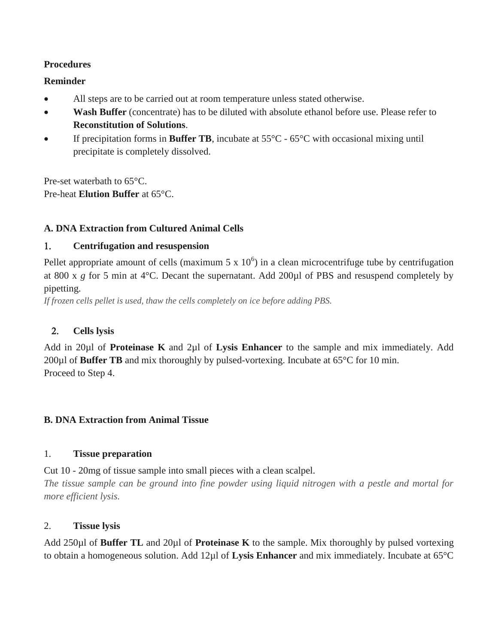### **Procedures**

### **Reminder**

- All steps are to be carried out at room temperature unless stated otherwise.
- **Wash Buffer** (concentrate) has to be diluted with absolute ethanol before use. Please refer to **Reconstitution of Solutions**.
- If precipitation forms in **Buffer TB**, incubate at 55°C 65°C with occasional mixing until precipitate is completely dissolved.

Pre-set waterbath to 65°C. Pre-heat **Elution Buffer** at 65°C.

## **A. DNA Extraction from Cultured Animal Cells**

## **Centrifugation and resuspension**

Pellet appropriate amount of cells (maximum  $5 \times 10^6$ ) in a clean microcentrifuge tube by centrifugation at 800 x *g* for 5 min at 4°C. Decant the supernatant. Add 200µl of PBS and resuspend completely by pipetting.

*If frozen cells pellet is used, thaw the cells completely on ice before adding PBS.*

## **Cells lysis**

Add in 20µl of **Proteinase K** and 2µl of **Lysis Enhancer** to the sample and mix immediately. Add 200µl of **Buffer TB** and mix thoroughly by pulsed-vortexing. Incubate at 65°C for 10 min. Proceed to Step 4.

## **B. DNA Extraction from Animal Tissue**

### 1. **Tissue preparation**

Cut 10 - 20mg of tissue sample into small pieces with a clean scalpel.

*The tissue sample can be ground into fine powder using liquid nitrogen with a pestle and mortal for more efficient lysis.*

## 2. **Tissue lysis**

Add 250µl of **Buffer TL** and 20µl of **Proteinase K** to the sample. Mix thoroughly by pulsed vortexing to obtain a homogeneous solution. Add 12µl of **Lysis Enhancer** and mix immediately. Incubate at 65°C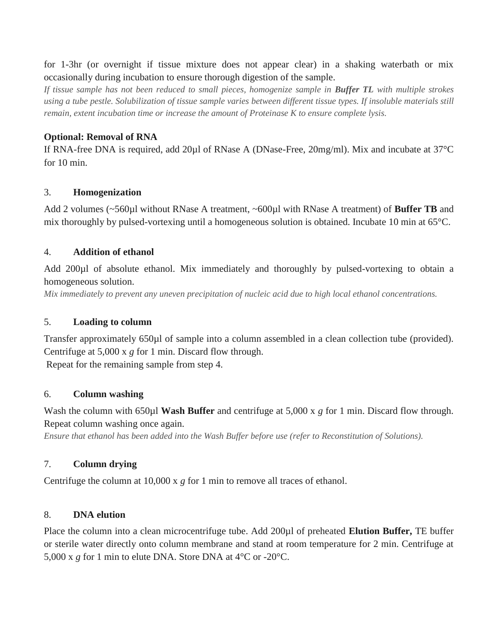for 1-3hr (or overnight if tissue mixture does not appear clear) in a shaking waterbath or mix occasionally during incubation to ensure thorough digestion of the sample.

*If tissue sample has not been reduced to small pieces, homogenize sample in Buffer TL with multiple strokes using a tube pestle. Solubilization of tissue sample varies between different tissue types. If insoluble materials still remain, extent incubation time or increase the amount of Proteinase K to ensure complete lysis.*

### **Optional: Removal of RNA**

If RNA-free DNA is required, add 20µl of RNase A (DNase-Free, 20mg/ml). Mix and incubate at 37°C for 10 min.

#### 3. **Homogenization**

Add 2 volumes (~560µl without RNase A treatment, ~600µl with RNase A treatment) of **Buffer TB** and mix thoroughly by pulsed-vortexing until a homogeneous solution is obtained. Incubate 10 min at 65°C.

#### 4. **Addition of ethanol**

Add 200µl of absolute ethanol. Mix immediately and thoroughly by pulsed-vortexing to obtain a homogeneous solution.

*Mix immediately to prevent any uneven precipitation of nucleic acid due to high local ethanol concentrations.*

#### 5. **Loading to column**

Transfer approximately 650µl of sample into a column assembled in a clean collection tube (provided). Centrifuge at 5,000 x *g* for 1 min. Discard flow through. Repeat for the remaining sample from step 4.

#### 6. **Column washing**

Wash the column with 650µl **Wash Buffer** and centrifuge at 5,000 x *g* for 1 min. Discard flow through. Repeat column washing once again.

*Ensure that ethanol has been added into the Wash Buffer before use (refer to Reconstitution of Solutions).*

### 7. **Column drying**

Centrifuge the column at 10,000 x *g* for 1 min to remove all traces of ethanol.

#### 8. **DNA elution**

Place the column into a clean microcentrifuge tube. Add 200µl of preheated **Elution Buffer,** TE buffer or sterile water directly onto column membrane and stand at room temperature for 2 min. Centrifuge at 5,000 x *g* for 1 min to elute DNA. Store DNA at 4°C or -20°C.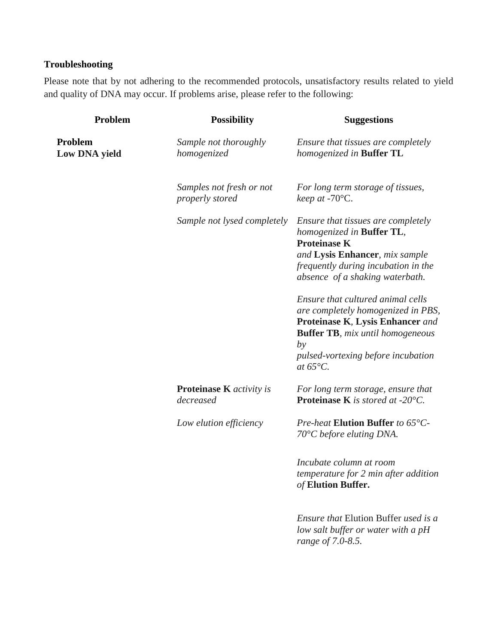# **Troubleshooting**

Please note that by not adhering to the recommended protocols, unsatisfactory results related to yield and quality of DNA may occur. If problems arise, please refer to the following:

| Problem                                | <b>Possibility</b>                           | <b>Suggestions</b>                                                                                                                                                                                                        |
|----------------------------------------|----------------------------------------------|---------------------------------------------------------------------------------------------------------------------------------------------------------------------------------------------------------------------------|
| <b>Problem</b><br><b>Low DNA yield</b> | Sample not thoroughly<br>homogenized         | Ensure that tissues are completely<br>homogenized in <b>Buffer TL</b>                                                                                                                                                     |
|                                        | Samples not fresh or not<br>properly stored  | For long term storage of tissues,<br>keep at -70°C.                                                                                                                                                                       |
|                                        | Sample not lysed completely                  | Ensure that tissues are completely<br>homogenized in Buffer TL,<br><b>Proteinase K</b><br>and Lysis Enhancer, mix sample<br>frequently during incubation in the<br>absence of a shaking waterbath.                        |
|                                        |                                              | Ensure that cultured animal cells<br>are completely homogenized in PBS,<br>Proteinase K, Lysis Enhancer and<br><b>Buffer TB</b> , mix until homogeneous<br>by<br>pulsed-vortexing before incubation<br>at $65^{\circ}C$ . |
|                                        | <b>Proteinase K</b> activity is<br>decreased | For long term storage, ensure that<br><b>Proteinase K</b> is stored at -20 $^{\circ}$ C.                                                                                                                                  |
|                                        | Low elution efficiency                       | Pre-heat Elution Buffer to 65°C-<br>$70^{\circ}$ C before eluting DNA.                                                                                                                                                    |
|                                        |                                              | Incubate column at room<br>temperature for 2 min after addition<br>of Elution Buffer.                                                                                                                                     |
|                                        |                                              | <i>Ensure that</i> Elution Buffer <i>used is a</i><br>low salt buffer or water with a pH<br>range of 7.0-8.5.                                                                                                             |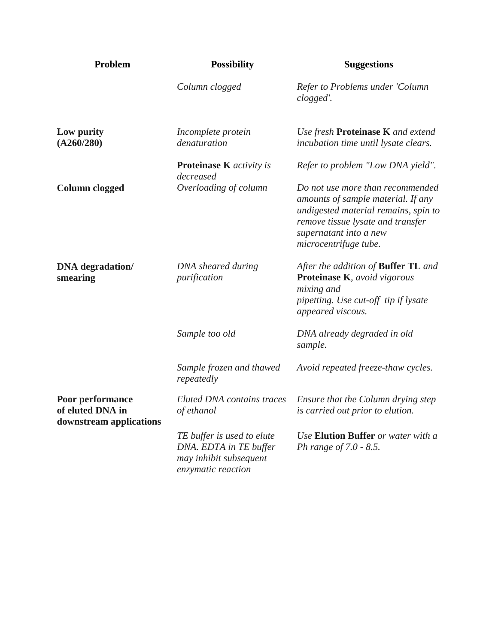| Problem                                                         | <b>Possibility</b>                                                                                   | <b>Suggestions</b>                                                                                                                                                                                     |
|-----------------------------------------------------------------|------------------------------------------------------------------------------------------------------|--------------------------------------------------------------------------------------------------------------------------------------------------------------------------------------------------------|
|                                                                 | Column clogged                                                                                       | Refer to Problems under 'Column<br>clogged'.                                                                                                                                                           |
| Low purity<br>(A260/280)                                        | Incomplete protein<br>denaturation                                                                   | Use fresh Proteinase K and extend<br>incubation time until lysate clears.                                                                                                                              |
|                                                                 | <b>Proteinase K</b> activity is<br>decreased                                                         | Refer to problem "Low DNA yield".                                                                                                                                                                      |
| <b>Column clogged</b>                                           | Overloading of column                                                                                | Do not use more than recommended<br>amounts of sample material. If any<br>undigested material remains, spin to<br>remove tissue lysate and transfer<br>supernatant into a new<br>microcentrifuge tube. |
| <b>DNA</b> degradation/<br>smearing                             | DNA sheared during<br>purification                                                                   | After the addition of <b>Buffer TL</b> and<br>Proteinase K, avoid vigorous<br>mixing and<br>pipetting. Use cut-off tip if lysate<br>appeared viscous.                                                  |
|                                                                 | Sample too old                                                                                       | DNA already degraded in old<br>sample.                                                                                                                                                                 |
|                                                                 | Sample frozen and thawed<br>repeatedly                                                               | Avoid repeated freeze-thaw cycles.                                                                                                                                                                     |
| Poor performance<br>of eluted DNA in<br>downstream applications | Eluted DNA contains traces<br>of ethanol                                                             | Ensure that the Column drying step<br>is carried out prior to elution.                                                                                                                                 |
|                                                                 | TE buffer is used to elute<br>DNA. EDTA in TE buffer<br>may inhibit subsequent<br>enzymatic reaction | Use Elution Buffer or water with a<br>Ph range of 7.0 - 8.5.                                                                                                                                           |